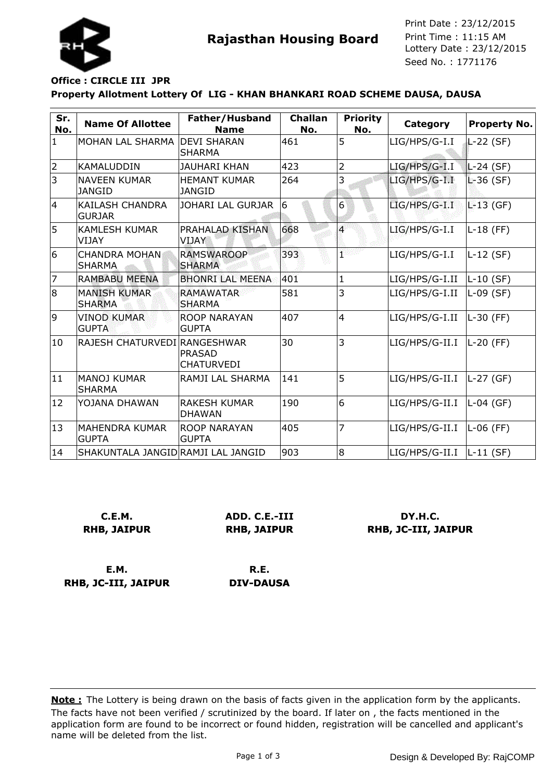

**Rajasthan Housing Board** Print Time : 11:15 AM<br>Lottery Date : 23/12/2015 Seed No. : 1771176 Print Date : 23/12/2015 Print Time : 11:15 AM

## **Property Allotment Lottery Of LIG - KHAN BHANKARI ROAD SCHEME DAUSA, DAUSA Office : CIRCLE III JPR**

| Sr.<br>No.     | <b>Name Of Allottee</b>                 | Father/Husband<br><b>Name</b>        | <b>Challan</b><br>No. | <b>Priority</b><br>No.  | Category       | <b>Property No.</b> |
|----------------|-----------------------------------------|--------------------------------------|-----------------------|-------------------------|----------------|---------------------|
| $\mathbf{1}$   | MOHAN LAL SHARMA                        | <b>DEVI SHARAN</b><br><b>SHARMA</b>  | 461                   | 5                       | LIG/HPS/G-I.I  | L-22 (SF)           |
| 2              | <b>KAMALUDDIN</b>                       | <b>JAUHARI KHAN</b>                  | 423                   | $\overline{2}$          | LIG/HPS/G-I.I  | $L-24$ (SF)         |
| 3              | <b>NAVEEN KUMAR</b><br><b>JANGID</b>    | <b>HEMANT KUMAR</b><br><b>JANGID</b> | 264                   | 3                       | LIG/HPS/G-I.I  | $L-36(SF)$          |
| $\overline{4}$ | <b>KAILASH CHANDRA</b><br><b>GURJAR</b> | JOHARI LAL GURJAR                    | 6                     | 6                       | LIG/HPS/G-I.I  | $L-13$ (GF)         |
| 5              | <b>KAMLESH KUMAR</b><br><b>VIJAY</b>    | PRAHALAD KISHAN<br>VIJAY             | 668                   | $\overline{\mathbf{4}}$ | LIG/HPS/G-I.I  | $L-18$ (FF)         |
| 6              | <b>CHANDRA MOHAN</b><br><b>SHARMA</b>   | <b>RAMSWAROOP</b><br><b>SHARMA</b>   | 393                   | k.<br>r                 | LIG/HPS/G-I.I  | $L-12$ (SF)         |
| 7              | <b>RAMBABU MEENA</b>                    | <b>BHONRI LAL MEENA</b>              | 401                   | $\mathbf{1}$            | LIG/HPS/G-I.II | L-10 (SF)           |
| 8              | <b>MANISH KUMAR</b><br><b>SHARMA</b>    | <b>RAMAWATAR</b><br><b>SHARMA</b>    | 581                   | 3                       | LIG/HPS/G-I.II | $L-09$ (SF)         |
| 9              | <b>VINOD KUMAR</b><br><b>GUPTA</b>      | <b>ROOP NARAYAN</b><br><b>GUPTA</b>  | 407                   | $\overline{4}$          | LIG/HPS/G-I.II | L-30 (FF)           |
| 10             | RAJESH CHATURVEDI RANGESHWAR            | <b>PRASAD</b><br><b>CHATURVEDI</b>   | 30                    | 3                       | LIG/HPS/G-II.I | L-20 (FF)           |
| 11             | <b>MANOJ KUMAR</b><br><b>SHARMA</b>     | RAMJI LAL SHARMA                     | 141                   | 5                       | LIG/HPS/G-II.I | L-27 (GF)           |
| 12             | YOJANA DHAWAN                           | <b>RAKESH KUMAR</b><br><b>DHAWAN</b> | 190                   | 6                       | LIG/HPS/G-II.I | L-04 (GF)           |
| 13             | <b>MAHENDRA KUMAR</b><br><b>GUPTA</b>   | <b>ROOP NARAYAN</b><br><b>GUPTA</b>  | 405                   | 7                       | LIG/HPS/G-II.I | L-06 (FF)           |
| 14             | SHAKUNTALA JANGID RAMJI LAL JANGID      |                                      | 903                   | 8                       | LIG/HPS/G-II.I | $ L-11(SF) $        |

| C.E.M.             |  |  |  |  |  |
|--------------------|--|--|--|--|--|
| <b>RHB, JAIPUR</b> |  |  |  |  |  |

**ADD. C.E.-III RHB, JAIPUR**

**DY.H.C. RHB, JC-III, JAIPUR**

**E.M. RHB, JC-III, JAIPUR**

**R.E. DIV-DAUSA**

The facts have not been verified / scrutinized by the board. If later on , the facts mentioned in the application form are found to be incorrect or found hidden, registration will be cancelled and applicant's name will be deleted from the list. **Note :** The Lottery is being drawn on the basis of facts given in the application form by the applicants.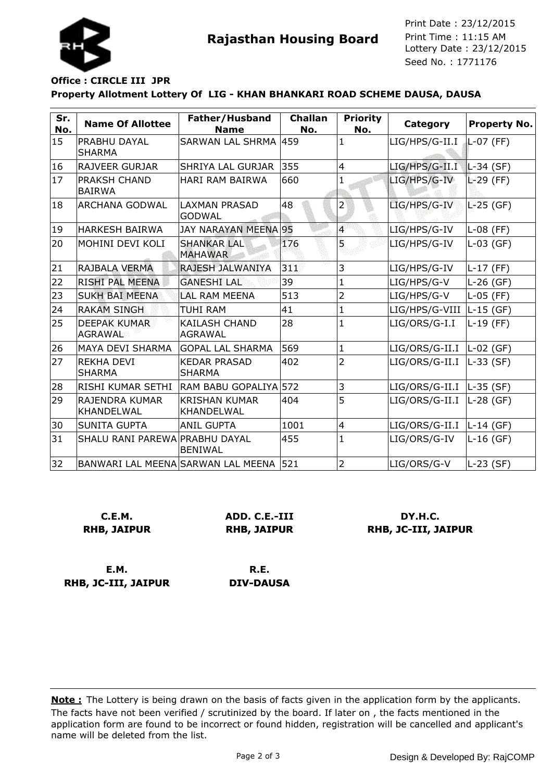

**Rajasthan Housing Board** Print Time : 11:15 AM<br>Lottery Date : 23/12/2015 Seed No. : 1771176 Print Date : 23/12/2015 Print Time : 11:15 AM

# **Office : CIRCLE III JPR**

#### **Property Allotment Lottery Of LIG - KHAN BHANKARI ROAD SCHEME DAUSA, DAUSA**

| Sr.<br>No. | <b>Name Of Allottee</b>               | Father/Husband<br><b>Name</b>          | <b>Challan</b><br>No. | <b>Priority</b><br>No.  | Category       | <b>Property No.</b> |
|------------|---------------------------------------|----------------------------------------|-----------------------|-------------------------|----------------|---------------------|
| 15         | <b>PRABHU DAYAL</b><br><b>SHARMA</b>  | SARWAN LAL SHRMA 459                   |                       | $\mathbf{1}$            | LIG/HPS/G-II.I | $L-07$ (FF)         |
| 16         | <b>RAJVEER GURJAR</b>                 | <b>SHRIYA LAL GURJAR</b>               | 355                   | $\overline{4}$          | LIG/HPS/G-II.I | $L-34$ (SF)         |
| 17         | <b>PRAKSH CHAND</b><br><b>BAIRWA</b>  | <b>HARI RAM BAIRWA</b>                 | 660                   | 1                       | LIG/HPS/G-IV   | $L-29$ (FF)         |
| 18         | <b>ARCHANA GODWAL</b>                 | <b>LAXMAN PRASAD</b><br><b>GODWAL</b>  | 48                    | $\overline{2}$          | LIG/HPS/G-IV   | $L-25$ (GF)         |
| 19         | <b>HARKESH BAIRWA</b>                 | <b>JAY NARAYAN MEENA 95</b>            |                       | $\overline{\mathbf{4}}$ | LIG/HPS/G-IV   | $L-08$ (FF)         |
| 20         | MOHINI DEVI KOLI                      | <b>SHANKAR LAL</b><br><b>MAHAWAR</b>   | 176                   | 5                       | LIG/HPS/G-IV   | $L-03$ (GF)         |
| 21         | RAJBALA VERMA                         | <b>RAJESH JALWANIYA</b>                | 311                   | 3                       | LIG/HPS/G-IV   | $L-17$ (FF)         |
| 22         | <b>RISHI PAL MEENA</b>                | <b>GANESHI LAL</b>                     | 39                    | $\mathbf{1}$            | LIG/HPS/G-V    | $L-26$ (GF)         |
| 23         | <b>SUKH BAI MEENA</b>                 | <b>LAL RAM MEENA</b>                   | 513                   | $\overline{2}$          | LIG/HPS/G-V    | $L-05$ (FF)         |
| 24         | <b>RAKAM SINGH</b>                    | <b>TUHI RAM</b>                        | 41                    | $\mathbf{1}$            | LIG/HPS/G-VIII | $L-15$ (GF)         |
| 25         | <b>DEEPAK KUMAR</b><br><b>AGRAWAL</b> | <b>KAILASH CHAND</b><br><b>AGRAWAL</b> | 28                    | $\mathbf{1}$            | LIG/ORS/G-I.I  | $L-19$ (FF)         |
| 26         | <b>MAYA DEVI SHARMA</b>               | <b>GOPAL LAL SHARMA</b>                | 569                   | $\mathbf{1}$            | LIG/ORS/G-II.I | $ L-02(GF) $        |
| 27         | <b>REKHA DEVI</b><br><b>SHARMA</b>    | <b>KEDAR PRASAD</b><br><b>SHARMA</b>   | 402                   | $\overline{2}$          | LIG/ORS/G-II.I | $L-33$ (SF)         |
| 28         | RISHI KUMAR SETHI                     | RAM BABU GOPALIYA 572                  |                       | 3                       | LIG/ORS/G-II.I | $ L-35(SF) $        |
| 29         | RAJENDRA KUMAR<br>KHANDELWAL          | <b>KRISHAN KUMAR</b><br>KHANDELWAL     | 404                   | 5                       | LIG/ORS/G-II.I | $L-28$ (GF)         |
| 30         | SUNITA GUPTA                          | <b>ANIL GUPTA</b>                      | 1001                  | $\overline{4}$          | LIG/ORS/G-II.I | L-14 (GF)           |
| 31         | SHALU RANI PAREWA PRABHU DAYAL        | <b>BENIWAL</b>                         | 455                   | $\mathbf{1}$            | LIG/ORS/G-IV   | $L-16$ (GF)         |
| 32         |                                       | BANWARI LAL MEENA SARWAN LAL MEENA 521 |                       | $\overline{2}$          | LIG/ORS/G-V    | $L-23$ (SF)         |

**C.E.M. RHB, JAIPUR** **ADD. C.E.-III RHB, JAIPUR**

**DY.H.C. RHB, JC-III, JAIPUR**

**E.M. RHB, JC-III, JAIPUR**

**R.E. DIV-DAUSA**

The facts have not been verified / scrutinized by the board. If later on , the facts mentioned in the application form are found to be incorrect or found hidden, registration will be cancelled and applicant's name will be deleted from the list. **Note :** The Lottery is being drawn on the basis of facts given in the application form by the applicants.